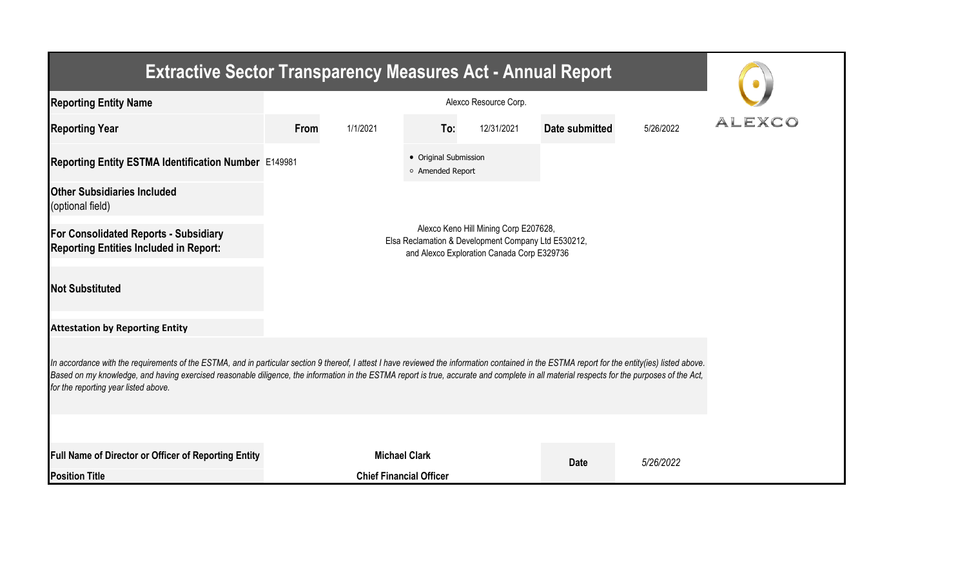| <b>Extractive Sector Transparency Measures Act - Annual Report</b>                                                                                                                                                                                                                                                                                                                                                                    |                                                                                                                                            |                                |                                           |            |                |           |        |  |  |  |
|---------------------------------------------------------------------------------------------------------------------------------------------------------------------------------------------------------------------------------------------------------------------------------------------------------------------------------------------------------------------------------------------------------------------------------------|--------------------------------------------------------------------------------------------------------------------------------------------|--------------------------------|-------------------------------------------|------------|----------------|-----------|--------|--|--|--|
| <b>Reporting Entity Name</b>                                                                                                                                                                                                                                                                                                                                                                                                          |                                                                                                                                            |                                |                                           |            |                |           |        |  |  |  |
| <b>Reporting Year</b>                                                                                                                                                                                                                                                                                                                                                                                                                 | From                                                                                                                                       | 1/1/2021                       | To:                                       | 12/31/2021 | Date submitted | 5/26/2022 | ALEXCO |  |  |  |
| Reporting Entity ESTMA Identification Number E149981                                                                                                                                                                                                                                                                                                                                                                                  |                                                                                                                                            |                                | • Original Submission<br>o Amended Report |            |                |           |        |  |  |  |
| <b>Other Subsidiaries Included</b><br>(optional field)                                                                                                                                                                                                                                                                                                                                                                                |                                                                                                                                            |                                |                                           |            |                |           |        |  |  |  |
| <b>For Consolidated Reports - Subsidiary</b><br><b>Reporting Entities Included in Report:</b>                                                                                                                                                                                                                                                                                                                                         | Alexco Keno Hill Mining Corp E207628,<br>Elsa Reclamation & Development Company Ltd E530212,<br>and Alexco Exploration Canada Corp E329736 |                                |                                           |            |                |           |        |  |  |  |
| <b>Not Substituted</b>                                                                                                                                                                                                                                                                                                                                                                                                                |                                                                                                                                            |                                |                                           |            |                |           |        |  |  |  |
| <b>Attestation by Reporting Entity</b>                                                                                                                                                                                                                                                                                                                                                                                                |                                                                                                                                            |                                |                                           |            |                |           |        |  |  |  |
| In accordance with the requirements of the ESTMA, and in particular section 9 thereof, I attest I have reviewed the information contained in the ESTMA report for the entity(ies) listed above.<br>Based on my knowledge, and having exercised reasonable diligence, the information in the ESTMA report is true, accurate and complete in all material respects for the purposes of the Act,<br>for the reporting year listed above. |                                                                                                                                            |                                |                                           |            |                |           |        |  |  |  |
|                                                                                                                                                                                                                                                                                                                                                                                                                                       |                                                                                                                                            |                                |                                           |            |                |           |        |  |  |  |
| Full Name of Director or Officer of Reporting Entity                                                                                                                                                                                                                                                                                                                                                                                  |                                                                                                                                            | <b>Michael Clark</b>           |                                           |            | <b>Date</b>    | 5/26/2022 |        |  |  |  |
| <b>Position Title</b>                                                                                                                                                                                                                                                                                                                                                                                                                 |                                                                                                                                            | <b>Chief Financial Officer</b> |                                           |            |                |           |        |  |  |  |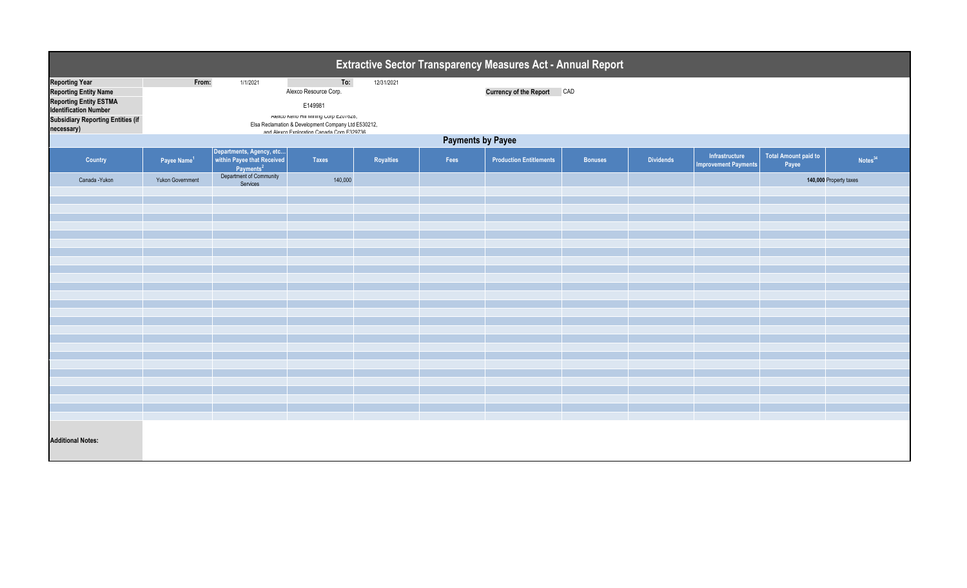| <b>Extractive Sector Transparency Measures Act - Annual Report</b>                                                                                                 |                         |                                     |                                                                                                                                                                                       |            |      |                                   |                |                  |                             |       |                        |
|--------------------------------------------------------------------------------------------------------------------------------------------------------------------|-------------------------|-------------------------------------|---------------------------------------------------------------------------------------------------------------------------------------------------------------------------------------|------------|------|-----------------------------------|----------------|------------------|-----------------------------|-------|------------------------|
| <b>Reporting Year</b><br><b>Reporting Entity Name</b><br>Reporting Entity ESTMA<br>Identification Number<br><b>Subsidiary Reporting Entities (if</b><br>necessary) | From:                   | 1/1/2021                            | To:<br>Alexco Resource Corp.<br>E149981<br>Alexco Keno Hill Mining Corp EZU/628,<br>Elsa Reclamation & Development Company Ltd E530212,<br>and Alexco Exploration Canada Corp E329736 | 12/31/2021 |      | <b>Currency of the Report CAD</b> |                |                  |                             |       |                        |
| <b>Payments by Payee</b><br>Departments, Agency, etc within Payee that Received<br>Total Amount paid to<br>Infrastructure                                          |                         |                                     |                                                                                                                                                                                       |            |      |                                   |                |                  |                             |       |                        |
| <b>Country</b>                                                                                                                                                     | Payee Name <sup>1</sup> | Payments <sup>2</sup>               | <b>Taxes</b>                                                                                                                                                                          | Royalties  | Fees | <b>Production Entitlements</b>    | <b>Bonuses</b> | <b>Dividends</b> | <b>Improvement Payments</b> | Payee | Notes <sup>34</sup>    |
| Canada - Yukon                                                                                                                                                     | <b>Yukon Government</b> | Department of Community<br>Services | 140,000                                                                                                                                                                               |            |      |                                   |                |                  |                             |       | 140,000 Property taxes |
|                                                                                                                                                                    |                         |                                     |                                                                                                                                                                                       |            |      |                                   |                |                  |                             |       |                        |
|                                                                                                                                                                    |                         |                                     |                                                                                                                                                                                       |            |      |                                   |                |                  |                             |       |                        |
|                                                                                                                                                                    |                         |                                     |                                                                                                                                                                                       |            |      |                                   |                |                  |                             |       |                        |
|                                                                                                                                                                    |                         |                                     |                                                                                                                                                                                       |            |      |                                   |                |                  |                             |       |                        |
|                                                                                                                                                                    |                         |                                     |                                                                                                                                                                                       |            |      |                                   |                |                  |                             |       |                        |
|                                                                                                                                                                    |                         |                                     |                                                                                                                                                                                       |            |      |                                   |                |                  |                             |       |                        |
|                                                                                                                                                                    |                         |                                     |                                                                                                                                                                                       |            |      |                                   |                |                  |                             |       |                        |
|                                                                                                                                                                    |                         |                                     |                                                                                                                                                                                       |            |      |                                   |                |                  |                             |       |                        |
|                                                                                                                                                                    |                         |                                     |                                                                                                                                                                                       |            |      |                                   |                |                  |                             |       |                        |
|                                                                                                                                                                    |                         |                                     |                                                                                                                                                                                       |            |      |                                   |                |                  |                             |       |                        |
|                                                                                                                                                                    |                         |                                     |                                                                                                                                                                                       |            |      |                                   |                |                  |                             |       |                        |
|                                                                                                                                                                    |                         |                                     |                                                                                                                                                                                       |            |      |                                   |                |                  |                             |       |                        |
|                                                                                                                                                                    |                         |                                     |                                                                                                                                                                                       |            |      |                                   |                |                  |                             |       |                        |
|                                                                                                                                                                    |                         |                                     |                                                                                                                                                                                       |            |      |                                   |                |                  |                             |       |                        |
|                                                                                                                                                                    |                         |                                     |                                                                                                                                                                                       |            |      |                                   |                |                  |                             |       |                        |
| <b>Additional Notes:</b>                                                                                                                                           |                         |                                     |                                                                                                                                                                                       |            |      |                                   |                |                  |                             |       |                        |